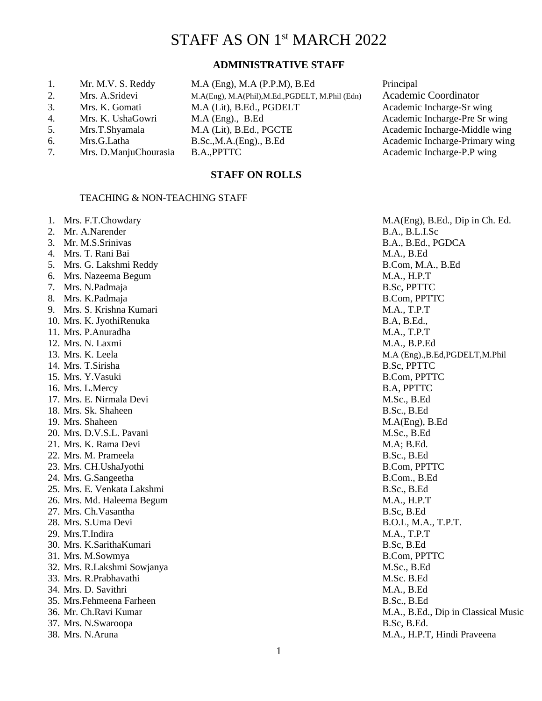# STAFF AS ON 1st MARCH 2022

# **ADMINISTRATIVE STAFF**

 **STAFF ON ROLLS**

| 1. | Mr. M.V. S. Reddy     | $M.A$ (Eng), $M.A$ (P.P.M), B.Ed                 | Principal |
|----|-----------------------|--------------------------------------------------|-----------|
| 2. | Mrs. A.Sridevi        | M.A(Eng), M.A(Phil), M.Ed., PGDELT, M.Phil (Edn) | Academ    |
| 3. | Mrs. K. Gomati        | M.A (Lit), B.Ed., PGDELT                         | Academi   |
| 4. | Mrs. K. UshaGowri     | $M.A$ (Eng)., B.Ed                               | Academi   |
| 5. | Mrs.T.Shyamala        | M.A (Lit), B.Ed., PGCTE                          | Academi   |
| 6. | Mrs.G.Latha           | B.Sc., M.A.(Eng), B.Ed                           | Academi   |
| 7. | Mrs. D.ManjuChourasia | <b>B.A., PPTTC</b>                               | Academi   |

TEACHING & NON-TEACHING STAFF

Academic Coordinator Academic Incharge-Sr wing Academic Incharge-Pre Sr wing. Academic Incharge-Middle wing Academic Incharge-Primary wing Academic Incharge-P.P wing

|  |  | 1. IVIIS. F.T.CHOWGAI |  |
|--|--|-----------------------|--|
|  |  |                       |  |

- 
- 
- 
- 
- 
- 
- 
- 
- 
- 
- 
- 
- 
- 
- 16. Mrs. L.Mercy B.A, PPTTC
- 17. Mrs. E. Nirmala Devi M.Sc., B.Ed
- 18. Mrs. Sk. Shaheen B.Sc., B.Ed
- 
- 20. Mrs. D.V.S.L. Pavani M.Sc., B.Ed
- 21. Mrs. K. Rama Devi M.A; B.Ed.
- 22. Mrs. M. Prameela B.Sc., B.Ed
- 23. Mrs. CH.UshaJyothi B.Com, PPTTC
- 
- 25. Mrs. E. Venkata Lakshmi B.Sc., B.Ed
- 26. Mrs. Md. Haleema Begum and the same measure of the state of the M.A., H.P.T.
- 27. Mrs. Ch.Vasantha B.Sc, B.Ed
- 
- 29. Mrs.T.Indira M.A., T.P.T
- 30. Mrs. K.SarithaKumari B.Sc, B.Ed
- 
- 32. Mrs. R.Lakshmi Sowjanya M.Sc., B.Ed
- 33. Mrs. R.Prabhavathi M.Sc. B.Ed
- 34. Mrs. D. Savithri M.A., B.Ed
- 35. Mrs.Fehmeena Farheen B.Sc., B.Ed
- 
- 37. Mrs. N.Swaroopa B.Sc, B.Ed.
- 

1. Mrs. F.T.Chowdary M.A(Eng), B.Ed., Dip in Ch. Ed. 2. Mr. A.Narender B.A., B.L.I.Sc 3. Mr. M.S.Srinivas B.A., B.Ed., PGDCA 4. Mrs. T. Rani Bai M.A., B.Ed 5. Mrs. G. Lakshmi Reddy B.Com, M.A., B.Ed 6. Mrs. Nazeema Begum M.A., H.P.T 7. Mrs. N.Padmaja B.Sc, PPTTC 8. Mrs. K.Padmaja B.Com, PPTTC 9. Mrs. S. Krishna Kumari M.A., T.P.T 10. Mrs. K. JyothiRenuka B.A, B.Ed., B.A, B.Ed., B.A, B.Ed., B.A, B.Ed., B. 11. Mrs. P.Anuradha M.A., T.P.T 12. Mrs. N. Laxmi M.A., B.P.Ed 13. Mrs. K. Leela M.A (Eng).,B.Ed,PGDELT,M.Phil 14. Mrs. T.Sirisha B.Sc, PPTTC 15. Mrs. Y.Vasuki B.Com, PPTTC 19. Mrs. Shaheen M.A(Eng), B.Ed 24. Mrs. G.Sangeetha B.Com., B.Ed 28. Mrs. S.Uma Devi B.O.L, M.A., T.P.T. 31. Mrs. M.Sowmya B.Com, PPTTC 36. Mr. Ch.Ravi Kumar **M.A., B.Ed., Dip in Classical Music** 38. Mrs. N.Aruna M.A., H.P.T, Hindi Praveena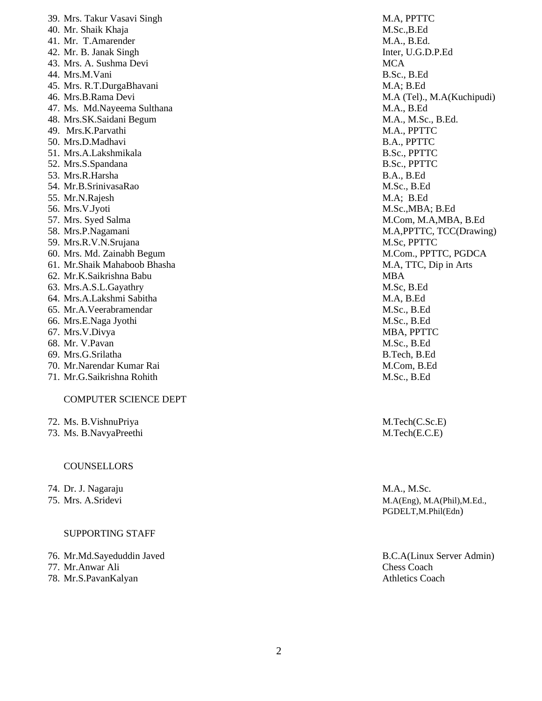| 39. Mrs. Takur Vasavi Singh  | M.A, PPTT              |
|------------------------------|------------------------|
| 40. Mr. Shaik Khaja          | M.Sc., B.Ec            |
| 41. Mr. T.Amarender          | M.A., B.E              |
| 42. Mr. B. Janak Singh       | Inter, U.G.            |
| 43. Mrs. A. Sushma Devi      | <b>MCA</b>             |
| 44. Mrs.M.Vani               | B.Sc., B.Ec            |
| 45. Mrs. R.T.DurgaBhavani    | M.A; B.Ed              |
| 46. Mrs.B.Rama Devi          | M.A (Tel).             |
| 47. Ms. Md.Nayeema Sulthana  | M.A., B.E <sub>0</sub> |
| 48. Mrs.SK.Saidani Begum     | M.A., M.S              |
| 49. Mrs.K.Parvathi           | M.A., PPT              |
| 50. Mrs.D.Madhavi            | B.A., PPT.             |
| 51. Mrs.A.Lakshmikala        | B.Sc., PPT             |
| 52. Mrs.S.Spandana           | B.Sc., PPT             |
| 53. Mrs.R.Harsha             | B.A., B.Ed             |
| 54. Mr.B.SrinivasaRao        | M.Sc., B.E             |
| 55. Mr.N.Rajesh              | M.A; B.EQ              |
| 56. Mrs.V.Jyoti              | M.Sc., MB.             |
| 57. Mrs. Syed Salma          | M.Com, M               |
| 58. Mrs.P.Nagamani           | M.A, PPTT              |
| 59. Mrs.R.V.N.Srujana        | M.Sc, PPT              |
| 60. Mrs. Md. Zainabh Begum   | M.Com., P              |
| 61. Mr.Shaik Mahaboob Bhasha | M.A, TTC.              |
| 62. Mr.K.Saikrishna Babu     | <b>MBA</b>             |
| 63. Mrs.A.S.L.Gayathry       | M.Sc, B.E              |
| 64. Mrs.A.Lakshmi Sabitha    | M.A, B.Ed              |
| 65. Mr.A.Veerabramendar      | M.Sc., B.E             |
| 66. Mrs.E.Naga Jyothi        | M.Sc., B.E             |
| 67. Mrs.V.Divya              | MBA, PPT               |
| 68. Mr. V.Pavan              | M.Sc., B.E             |
| 69. Mrs.G.Srilatha           | B.Tech, B.             |
| 70. Mr.Narendar Kumar Rai    | M.Com, B.              |
| 71. Mr.G.Saikrishna Rohith   | M.Sc., B.E             |
|                              |                        |

### COMPUTER SCIENCE DEPT

- 72. Ms. B.VishnuPriya M.Tech(C.Sc.E)
- 73. Ms. B.NavyaPreethi M.Tech(E.C.E)

#### **COUNSELLORS**

- 74. Dr. J. Nagaraju M.A., M.Sc.
- 

#### SUPPORTING STAFF

- 
- 
- 78. Mr.S.PavanKalyan Athletics Coach

M.A, PPTTC M.Sc.,B.Ed M.A., B.Ed. Inter, U.G.D.P.Ed B.Sc., B.Ed  $M.A; B.Ed.$ M.A (Tel)., M.A(Kuchipudi)  $M.A., B.Ed$ M.A., M.Sc., B.Ed. M.A., PPTTC B.A., PPTTC B.Sc., PPTTC B.Sc., PPTTC B.A., B.Ed M.Sc., B.Ed M.A; B.Ed M.Sc.,MBA; B.Ed M.Com, M.A,MBA, B.Ed M.A, PPTTC, TCC(Drawing) M.Sc, PPTTC M. Com., PPTTC, PGDCA M.A, TTC, Dip in Arts M.Sc, B.Ed. M.Sc., B.Ed M.Sc., B.Ed MBA, PPTTC M.Sc., B.Ed B.Tech, B.Ed M.Com, B.Ed M.Sc., B.Ed

75. Mrs. A.Sridevi M.A(Eng), M.A(Phil), M.Ed., PGDELT,M.Phil(Edn)

76. Mr.Md.Sayeduddin Javed B.C.A(Linux Server Admin) 77. Mr.Anwar Ali Chess Coach